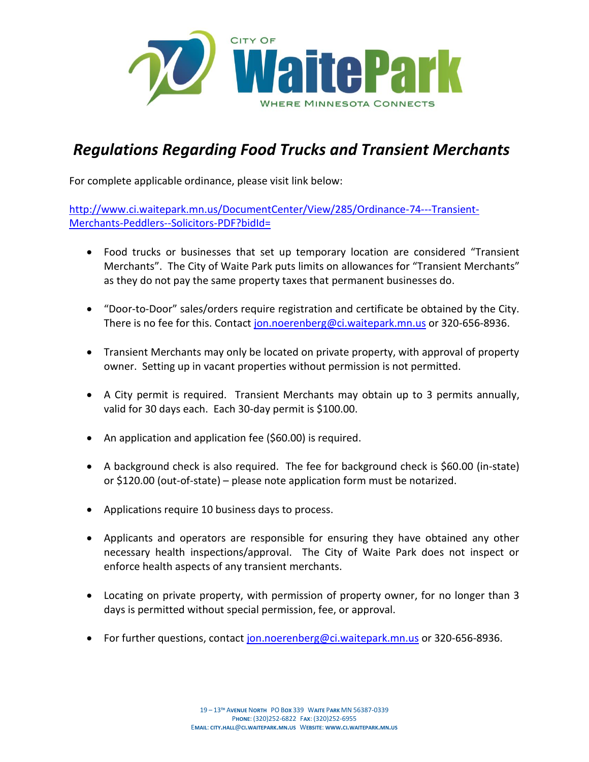

# *Regulations Regarding Food Trucks and Transient Merchants*

For complete applicable ordinance, please visit link below:

[http://www.ci.waitepark.mn.us/DocumentCenter/View/285/Ordinance-74---Transient-](http://www.ci.waitepark.mn.us/DocumentCenter/View/285/Ordinance-74---Transient-Merchants-Peddlers--Solicitors-PDF?bidId=)[Merchants-Peddlers--Solicitors-PDF?bidId=](http://www.ci.waitepark.mn.us/DocumentCenter/View/285/Ordinance-74---Transient-Merchants-Peddlers--Solicitors-PDF?bidId=)

- Food trucks or businesses that set up temporary location are considered "Transient Merchants". The City of Waite Park puts limits on allowances for "Transient Merchants" as they do not pay the same property taxes that permanent businesses do.
- "Door-to-Door" sales/orders require registration and certificate be obtained by the City. There is no fee for this. Contact [jon.noerenberg@ci.waitepark.mn.us](mailto:jon.noerenberg@ci.waitepark.mn.us) or 320-656-8936.
- Transient Merchants may only be located on private property, with approval of property owner. Setting up in vacant properties without permission is not permitted.
- A City permit is required. Transient Merchants may obtain up to 3 permits annually, valid for 30 days each. Each 30-day permit is \$100.00.
- An application and application fee (\$60.00) is required.
- A background check is also required. The fee for background check is \$60.00 (in-state) or \$120.00 (out-of-state) – please note application form must be notarized.
- Applications require 10 business days to process.
- Applicants and operators are responsible for ensuring they have obtained any other necessary health inspections/approval. The City of Waite Park does not inspect or enforce health aspects of any transient merchants.
- Locating on private property, with permission of property owner, for no longer than 3 days is permitted without special permission, fee, or approval.
- For further questions, contact [jon.noerenberg@ci.waitepark.mn.us](mailto:jon.noerenberg@ci.waitepark.mn.us) or 320-656-8936.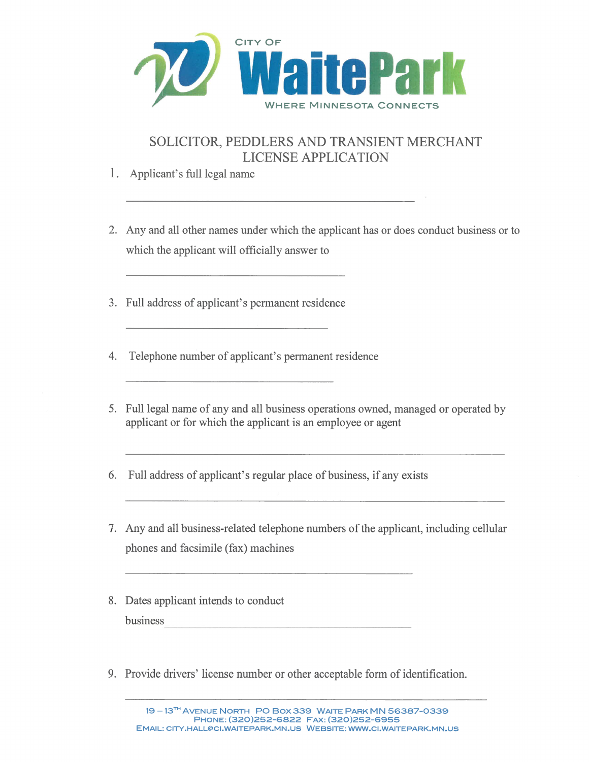

## SOLICITOR, PEDDLERS AND TRANSIENT MERCHANT **LICENSE APPLICATION**

- 1. Applicant's full legal name
- 2. Any and all other names under which the applicant has or does conduct business or to which the applicant will officially answer to
- 3. Full address of applicant's permanent residence
- 4. Telephone number of applicant's permanent residence
- 5. Full legal name of any and all business operations owned, managed or operated by applicant or for which the applicant is an employee or agent
- 6. Full address of applicant's regular place of business, if any exists
- 7. Any and all business-related telephone numbers of the applicant, including cellular phones and facsimile (fax) machines
- 8. Dates applicant intends to conduct business
- 9. Provide drivers' license number or other acceptable form of identification.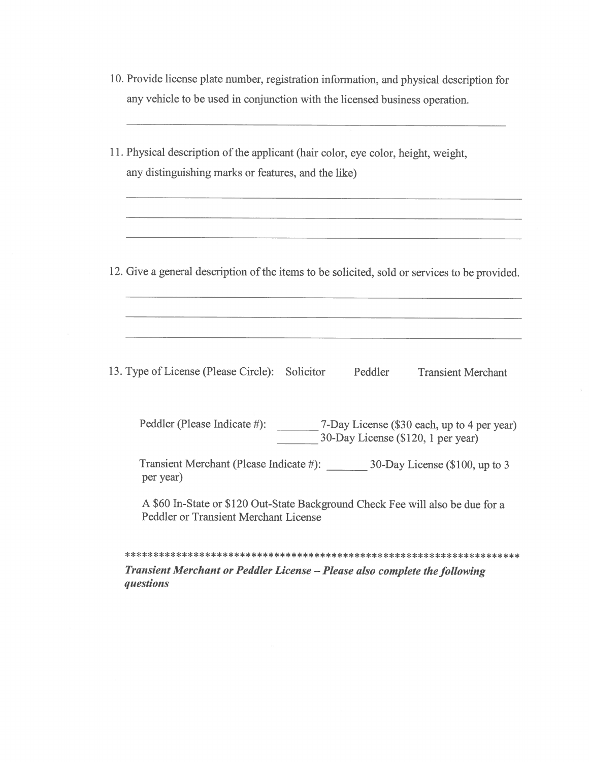|  | 10. Provide license plate number, registration information, and physical description for |  |  |  |
|--|------------------------------------------------------------------------------------------|--|--|--|
|  | any vehicle to be used in conjunction with the licensed business operation.              |  |  |  |

|           | 11. Physical description of the applicant (hair color, eye color, height, weight,<br>any distinguishing marks or features, and the like) |  |                                                                        |                                                                                               |  |  |  |  |
|-----------|------------------------------------------------------------------------------------------------------------------------------------------|--|------------------------------------------------------------------------|-----------------------------------------------------------------------------------------------|--|--|--|--|
|           |                                                                                                                                          |  |                                                                        | 12. Give a general description of the items to be solicited, sold or services to be provided. |  |  |  |  |
|           |                                                                                                                                          |  |                                                                        |                                                                                               |  |  |  |  |
|           | 13. Type of License (Please Circle): Solicitor                                                                                           |  | Peddler                                                                | <b>Transient Merchant</b>                                                                     |  |  |  |  |
|           | Peddler (Please Indicate #): _________ 7-Day License (\$30 each, up to 4 per year)<br>30-Day License (\$120, 1 per year)                 |  |                                                                        |                                                                                               |  |  |  |  |
| per year) |                                                                                                                                          |  | Transient Merchant (Please Indicate #): 30-Day License (\$100, up to 3 |                                                                                               |  |  |  |  |
|           | A \$60 In-State or \$120 Out-State Background Check Fee will also be due for a<br>Peddler or Transient Merchant License                  |  |                                                                        |                                                                                               |  |  |  |  |
|           |                                                                                                                                          |  |                                                                        |                                                                                               |  |  |  |  |

Transient Merchant or Peddler License - Please also complete the following questions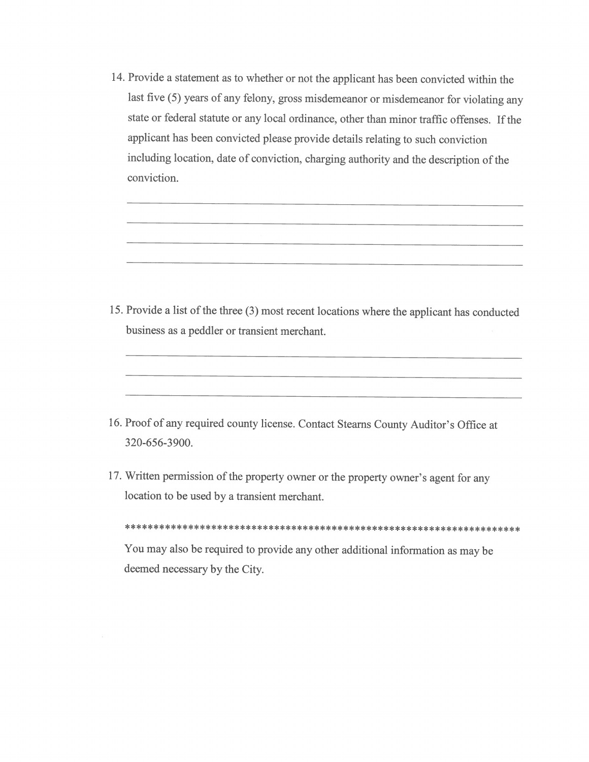14. Provide a statement as to whether or not the applicant has been convicted within the last five (5) years of any felony, gross misdemeanor or misdemeanor for violating any state or federal statute or any local ordinance, other than minor traffic offenses. If the applicant has been convicted please provide details relating to such conviction including location, date of conviction, charging authority and the description of the conviction.

15. Provide a list of the three (3) most recent locations where the applicant has conducted business as a peddler or transient merchant.

- 16. Proof of any required county license. Contact Stearns County Auditor's Office at 320-656-3900.
- 17. Written permission of the property owner or the property owner's agent for any location to be used by a transient merchant.

You may also be required to provide any other additional information as may be deemed necessary by the City.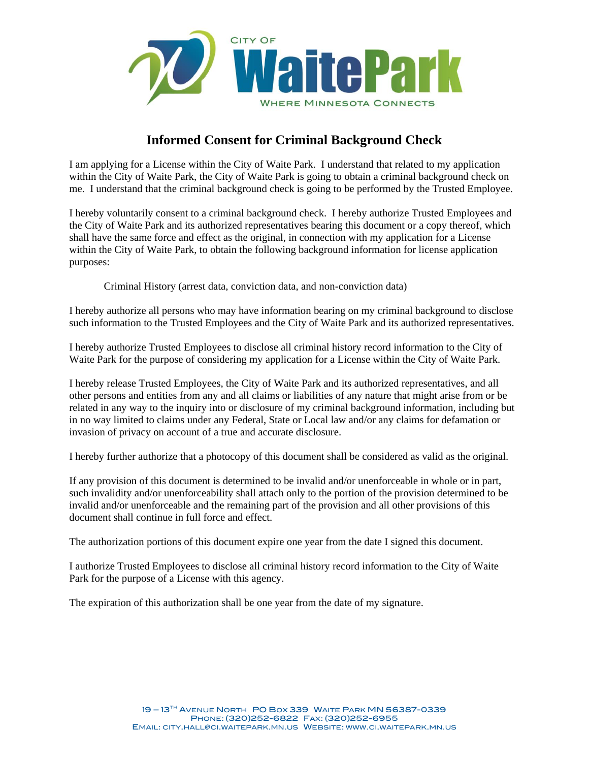

### **Informed Consent for Criminal Background Check**

I am applying for a License within the City of Waite Park. I understand that related to my application within the City of Waite Park, the City of Waite Park is going to obtain a criminal background check on me. I understand that the criminal background check is going to be performed by the Trusted Employee.

I hereby voluntarily consent to a criminal background check. I hereby authorize Trusted Employees and the City of Waite Park and its authorized representatives bearing this document or a copy thereof, which shall have the same force and effect as the original, in connection with my application for a License within the City of Waite Park, to obtain the following background information for license application purposes:

Criminal History (arrest data, conviction data, and non-conviction data)

I hereby authorize all persons who may have information bearing on my criminal background to disclose such information to the Trusted Employees and the City of Waite Park and its authorized representatives.

I hereby authorize Trusted Employees to disclose all criminal history record information to the City of Waite Park for the purpose of considering my application for a License within the City of Waite Park.

I hereby release Trusted Employees, the City of Waite Park and its authorized representatives, and all other persons and entities from any and all claims or liabilities of any nature that might arise from or be related in any way to the inquiry into or disclosure of my criminal background information, including but in no way limited to claims under any Federal, State or Local law and/or any claims for defamation or invasion of privacy on account of a true and accurate disclosure.

I hereby further authorize that a photocopy of this document shall be considered as valid as the original.

If any provision of this document is determined to be invalid and/or unenforceable in whole or in part, such invalidity and/or unenforceability shall attach only to the portion of the provision determined to be invalid and/or unenforceable and the remaining part of the provision and all other provisions of this document shall continue in full force and effect.

The authorization portions of this document expire one year from the date I signed this document.

I authorize Trusted Employees to disclose all criminal history record information to the City of Waite Park for the purpose of a License with this agency.

The expiration of this authorization shall be one year from the date of my signature.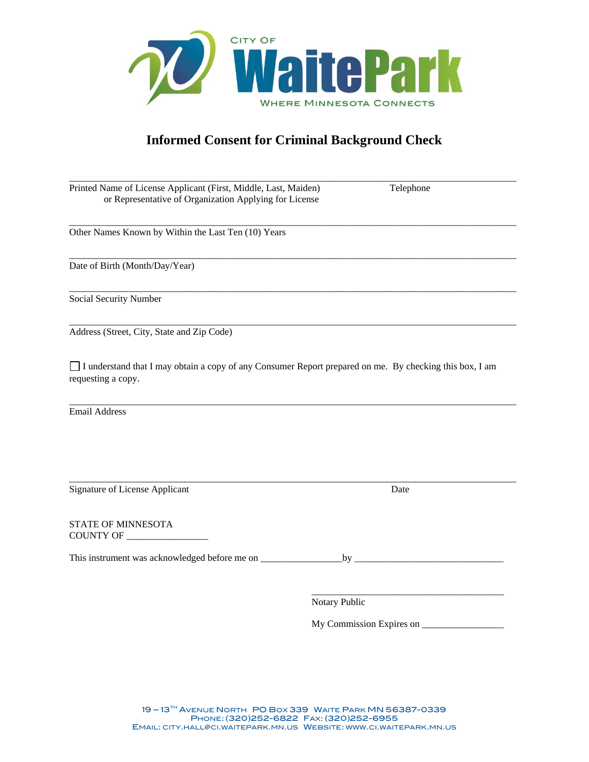

## **Informed Consent for Criminal Background Check**

\_\_\_\_\_\_\_\_\_\_\_\_\_\_\_\_\_\_\_\_\_\_\_\_\_\_\_\_\_\_\_\_\_\_\_\_\_\_\_\_\_\_\_\_\_\_\_\_\_\_\_\_\_\_\_\_\_\_\_\_\_\_\_\_\_\_\_\_\_\_\_\_\_\_\_\_\_\_\_\_\_\_\_\_\_\_\_\_\_\_\_\_\_

\_\_\_\_\_\_\_\_\_\_\_\_\_\_\_\_\_\_\_\_\_\_\_\_\_\_\_\_\_\_\_\_\_\_\_\_\_\_\_\_\_\_\_\_\_\_\_\_\_\_\_\_\_\_\_\_\_\_\_\_\_\_\_\_\_\_\_\_\_\_\_\_\_\_\_\_\_\_\_\_\_\_\_\_\_\_\_\_\_\_\_\_\_

\_\_\_\_\_\_\_\_\_\_\_\_\_\_\_\_\_\_\_\_\_\_\_\_\_\_\_\_\_\_\_\_\_\_\_\_\_\_\_\_\_\_\_\_\_\_\_\_\_\_\_\_\_\_\_\_\_\_\_\_\_\_\_\_\_\_\_\_\_\_\_\_\_\_\_\_\_\_\_\_\_\_\_\_\_\_\_\_\_\_\_\_\_

\_\_\_\_\_\_\_\_\_\_\_\_\_\_\_\_\_\_\_\_\_\_\_\_\_\_\_\_\_\_\_\_\_\_\_\_\_\_\_\_\_\_\_\_\_\_\_\_\_\_\_\_\_\_\_\_\_\_\_\_\_\_\_\_\_\_\_\_\_\_\_\_\_\_\_\_\_\_\_\_\_\_\_\_\_\_\_\_\_\_\_\_\_

 $\_$  ,  $\_$  ,  $\_$  ,  $\_$  ,  $\_$  ,  $\_$  ,  $\_$  ,  $\_$  ,  $\_$  ,  $\_$  ,  $\_$  ,  $\_$  ,  $\_$  ,  $\_$  ,  $\_$  ,  $\_$  ,  $\_$  ,  $\_$  ,  $\_$  ,  $\_$  ,  $\_$  ,  $\_$  ,  $\_$  ,  $\_$  ,  $\_$  ,  $\_$  ,  $\_$  ,  $\_$  ,  $\_$  ,  $\_$  ,  $\_$  ,  $\_$  ,  $\_$  ,  $\_$  ,  $\_$  ,  $\_$  ,  $\_$  , Printed Name of License Applicant (First, Middle, Last, Maiden) Telephone or Representative of Organization Applying for License

Other Names Known by Within the Last Ten (10) Years

Date of Birth (Month/Day/Year)

Social Security Number

Address (Street, City, State and Zip Code)

I understand that I may obtain a copy of any Consumer Report prepared on me. By checking this box, I am requesting a copy.

 $\_$  ,  $\_$  ,  $\_$  ,  $\_$  ,  $\_$  ,  $\_$  ,  $\_$  ,  $\_$  ,  $\_$  ,  $\_$  ,  $\_$  ,  $\_$  ,  $\_$  ,  $\_$  ,  $\_$  ,  $\_$  ,  $\_$  ,  $\_$  ,  $\_$  ,  $\_$  ,  $\_$  ,  $\_$  ,  $\_$  ,  $\_$  ,  $\_$  ,  $\_$  ,  $\_$  ,  $\_$  ,  $\_$  ,  $\_$  ,  $\_$  ,  $\_$  ,  $\_$  ,  $\_$  ,  $\_$  ,  $\_$  ,  $\_$  ,

 $\_$  ,  $\_$  ,  $\_$  ,  $\_$  ,  $\_$  ,  $\_$  ,  $\_$  ,  $\_$  ,  $\_$  ,  $\_$  ,  $\_$  ,  $\_$  ,  $\_$  ,  $\_$  ,  $\_$  ,  $\_$  ,  $\_$  ,  $\_$  ,  $\_$  ,  $\_$  ,  $\_$  ,  $\_$  ,  $\_$  ,  $\_$  ,  $\_$  ,  $\_$  ,  $\_$  ,  $\_$  ,  $\_$  ,  $\_$  ,  $\_$  ,  $\_$  ,  $\_$  ,  $\_$  ,  $\_$  ,  $\_$  ,  $\_$  ,

Email Address

Signature of License Applicant Date

STATE OF MINNESOTA COUNTY OF \_\_\_\_\_\_\_\_\_\_\_\_\_\_\_\_\_

This instrument was acknowledged before me on \_\_\_\_\_\_\_\_\_\_\_\_\_\_\_\_\_by \_\_\_\_\_\_\_\_\_\_\_\_\_\_\_\_\_\_\_\_\_\_\_\_\_\_\_\_\_\_\_

\_\_\_\_\_\_\_\_\_\_\_\_\_\_\_\_\_\_\_\_\_\_\_\_\_\_\_\_\_\_\_\_\_\_\_\_\_\_\_\_ Notary Public

My Commission Expires on \_\_\_\_\_\_\_\_\_\_\_\_\_\_\_\_\_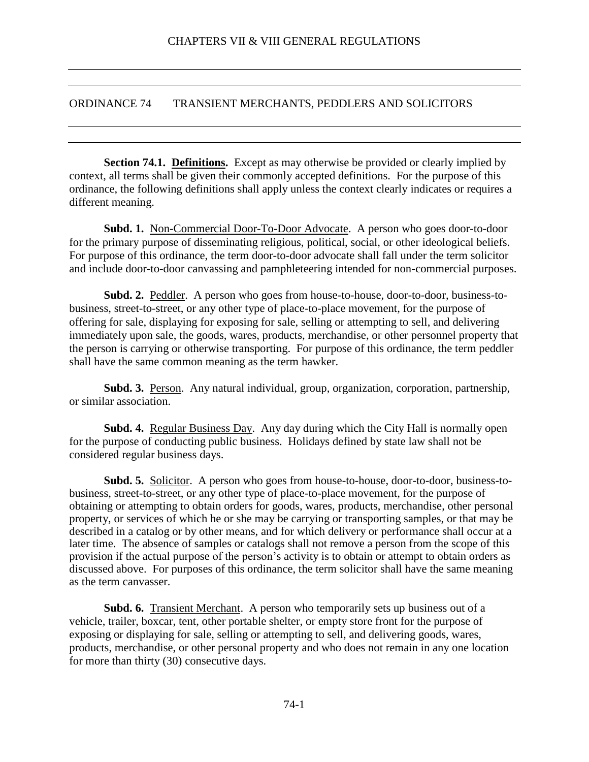#### <span id="page-7-0"></span>ORDINANCE 74 TRANSIENT MERCHANTS, PEDDLERS AND SOLICITORS

<span id="page-7-1"></span>**Section 74.1. Definitions.** Except as may otherwise be provided or clearly implied by context, all terms shall be given their commonly accepted definitions. For the purpose of this ordinance, the following definitions shall apply unless the context clearly indicates or requires a different meaning.

**Subd. 1.** Non-Commercial Door-To-Door Advocate. A person who goes door-to-door for the primary purpose of disseminating religious, political, social, or other ideological beliefs. For purpose of this ordinance, the term door-to-door advocate shall fall under the term solicitor and include door-to-door canvassing and pamphleteering intended for non-commercial purposes.

**Subd. 2.** Peddler. A person who goes from house-to-house, door-to-door, business-tobusiness, street-to-street, or any other type of place-to-place movement, for the purpose of offering for sale, displaying for exposing for sale, selling or attempting to sell, and delivering immediately upon sale, the goods, wares, products, merchandise, or other personnel property that the person is carrying or otherwise transporting. For purpose of this ordinance, the term peddler shall have the same common meaning as the term hawker.

**Subd. 3.** Person. Any natural individual, group, organization, corporation, partnership, or similar association.

**Subd. 4.** Regular Business Day. Any day during which the City Hall is normally open for the purpose of conducting public business. Holidays defined by state law shall not be considered regular business days.

**Subd. 5.** Solicitor. A person who goes from house-to-house, door-to-door, business-tobusiness, street-to-street, or any other type of place-to-place movement, for the purpose of obtaining or attempting to obtain orders for goods, wares, products, merchandise, other personal property, or services of which he or she may be carrying or transporting samples, or that may be described in a catalog or by other means, and for which delivery or performance shall occur at a later time. The absence of samples or catalogs shall not remove a person from the scope of this provision if the actual purpose of the person's activity is to obtain or attempt to obtain orders as discussed above. For purposes of this ordinance, the term solicitor shall have the same meaning as the term canvasser.

**Subd. 6.** Transient Merchant. A person who temporarily sets up business out of a vehicle, trailer, boxcar, tent, other portable shelter, or empty store front for the purpose of exposing or displaying for sale, selling or attempting to sell, and delivering goods, wares, products, merchandise, or other personal property and who does not remain in any one location for more than thirty (30) consecutive days.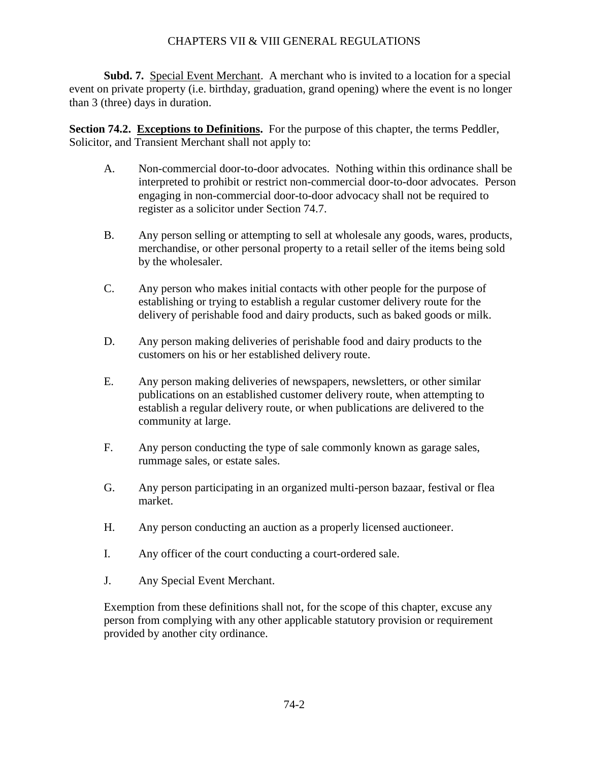**Subd. 7.** Special Event Merchant. A merchant who is invited to a location for a special event on private property (i.e. birthday, graduation, grand opening) where the event is no longer than 3 (three) days in duration.

**Section 74.2. Exceptions to Definitions.** For the purpose of this chapter, the terms Peddler, Solicitor, and Transient Merchant shall not apply to:

- <span id="page-8-0"></span>A. Non-commercial door-to-door advocates. Nothing within this ordinance shall be interpreted to prohibit or restrict non-commercial door-to-door advocates. Person engaging in non-commercial door-to-door advocacy shall not be required to register as a solicitor under Section 74.7.
- B. Any person selling or attempting to sell at wholesale any goods, wares, products, merchandise, or other personal property to a retail seller of the items being sold by the wholesaler.
- C. Any person who makes initial contacts with other people for the purpose of establishing or trying to establish a regular customer delivery route for the delivery of perishable food and dairy products, such as baked goods or milk.
- D. Any person making deliveries of perishable food and dairy products to the customers on his or her established delivery route.
- E. Any person making deliveries of newspapers, newsletters, or other similar publications on an established customer delivery route, when attempting to establish a regular delivery route, or when publications are delivered to the community at large.
- F. Any person conducting the type of sale commonly known as garage sales, rummage sales, or estate sales.
- G. Any person participating in an organized multi-person bazaar, festival or flea market.
- H. Any person conducting an auction as a properly licensed auctioneer.
- I. Any officer of the court conducting a court-ordered sale.
- J. Any Special Event Merchant.

Exemption from these definitions shall not, for the scope of this chapter, excuse any person from complying with any other applicable statutory provision or requirement provided by another city ordinance.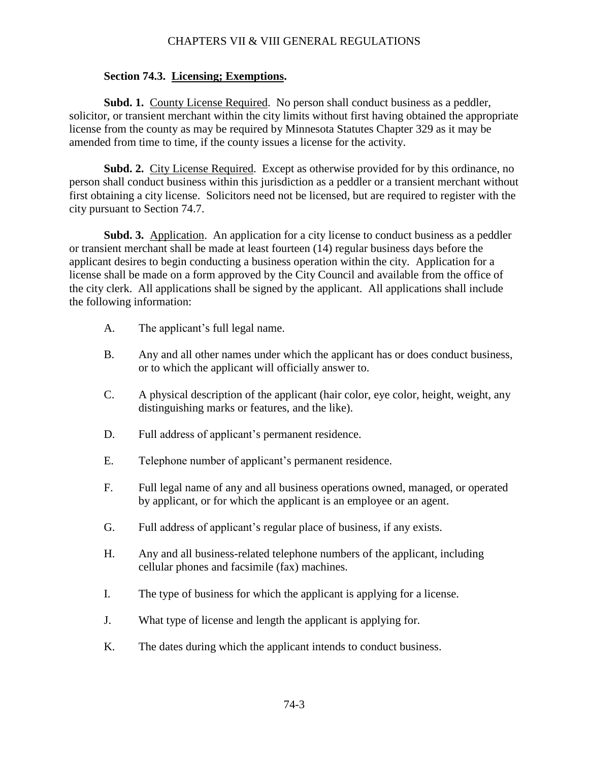#### <span id="page-9-0"></span>**Section 74.3. Licensing; Exemptions.**

**Subd. 1.** County License Required. No person shall conduct business as a peddler, solicitor, or transient merchant within the city limits without first having obtained the appropriate license from the county as may be required by Minnesota Statutes Chapter 329 as it may be amended from time to time, if the county issues a license for the activity.

**Subd. 2.** City License Required. Except as otherwise provided for by this ordinance, no person shall conduct business within this jurisdiction as a peddler or a transient merchant without first obtaining a city license. Solicitors need not be licensed, but are required to register with the city pursuant to Section 74.7.

**Subd. 3.** Application. An application for a city license to conduct business as a peddler or transient merchant shall be made at least fourteen (14) regular business days before the applicant desires to begin conducting a business operation within the city. Application for a license shall be made on a form approved by the City Council and available from the office of the city clerk. All applications shall be signed by the applicant. All applications shall include the following information:

- A. The applicant's full legal name.
- B. Any and all other names under which the applicant has or does conduct business, or to which the applicant will officially answer to.
- C. A physical description of the applicant (hair color, eye color, height, weight, any distinguishing marks or features, and the like).
- D. Full address of applicant's permanent residence.
- E. Telephone number of applicant's permanent residence.
- F. Full legal name of any and all business operations owned, managed, or operated by applicant, or for which the applicant is an employee or an agent.
- G. Full address of applicant's regular place of business, if any exists.
- H. Any and all business-related telephone numbers of the applicant, including cellular phones and facsimile (fax) machines.
- I. The type of business for which the applicant is applying for a license.
- J. What type of license and length the applicant is applying for.
- K. The dates during which the applicant intends to conduct business.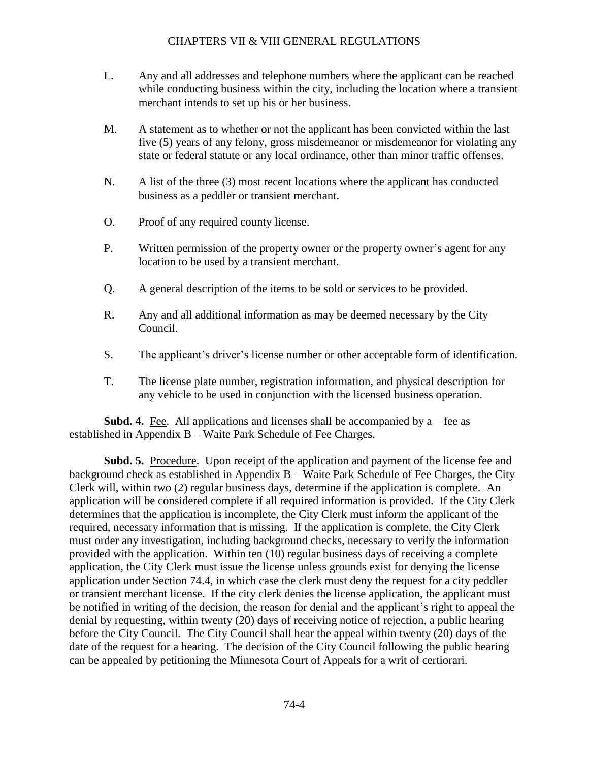- L. Any and all addresses and telephone numbers where the applicant can be reached while conducting business within the city, including the location where a transient merchant intends to set up his or her business.
- M. A statement as to whether or not the applicant has been convicted within the last five (5) years of any felony, gross misdemeanor or misdemeanor for violating any state or federal statute or any local ordinance, other than minor traffic offenses.
- N. A list of the three (3) most recent locations where the applicant has conducted business as a peddler or transient merchant.
- O. Proof of any required county license.
- P. Written permission of the property owner or the property owner's agent for any location to be used by a transient merchant.
- Q. A general description of the items to be sold or services to be provided.
- R. Any and all additional information as may be deemed necessary by the City Council.
- S. The applicant's driver's license number or other acceptable form of identification.
- T. The license plate number, registration information, and physical description for any vehicle to be used in conjunction with the licensed business operation.

**Subd. 4.** Fee. All applications and licenses shall be accompanied by  $a$  – fee as established in Appendix B – Waite Park Schedule of Fee Charges.

**Subd. 5.** Procedure. Upon receipt of the application and payment of the license fee and background check as established in Appendix B – Waite Park Schedule of Fee Charges, the City Clerk will, within two (2) regular business days, determine if the application is complete. An application will be considered complete if all required information is provided. If the City Clerk determines that the application is incomplete, the City Clerk must inform the applicant of the required, necessary information that is missing. If the application is complete, the City Clerk must order any investigation, including background checks, necessary to verify the information provided with the application. Within ten (10) regular business days of receiving a complete application, the City Clerk must issue the license unless grounds exist for denying the license application under Section 74.4, in which case the clerk must deny the request for a city peddler or transient merchant license. If the city clerk denies the license application, the applicant must be notified in writing of the decision, the reason for denial and the applicant's right to appeal the denial by requesting, within twenty (20) days of receiving notice of rejection, a public hearing before the City Council. The City Council shall hear the appeal within twenty (20) days of the date of the request for a hearing. The decision of the City Council following the public hearing can be appealed by petitioning the Minnesota Court of Appeals for a writ of certiorari.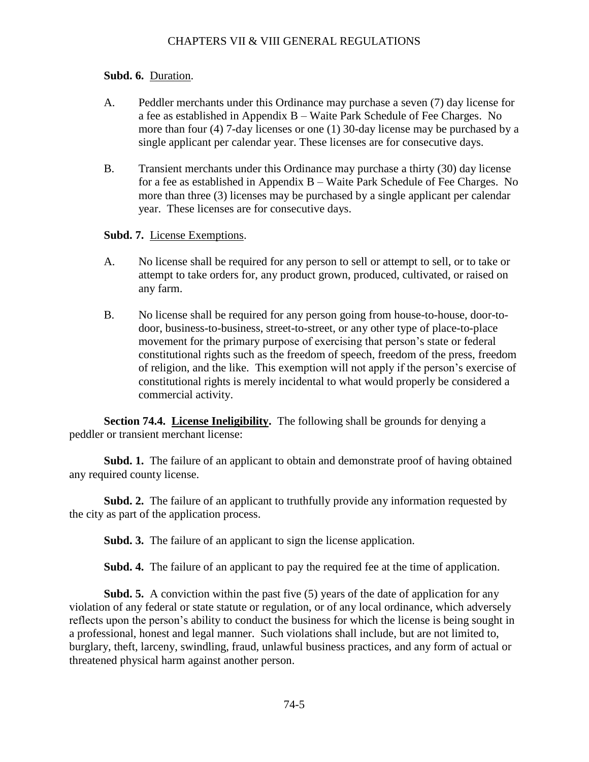#### **Subd. 6.** Duration.

- A. Peddler merchants under this Ordinance may purchase a seven (7) day license for a fee as established in Appendix B – Waite Park Schedule of Fee Charges. No more than four (4) 7-day licenses or one (1) 30-day license may be purchased by a single applicant per calendar year. These licenses are for consecutive days.
- B. Transient merchants under this Ordinance may purchase a thirty (30) day license for a fee as established in Appendix B – Waite Park Schedule of Fee Charges. No more than three (3) licenses may be purchased by a single applicant per calendar year. These licenses are for consecutive days.

#### **Subd. 7.** License Exemptions.

- A. No license shall be required for any person to sell or attempt to sell, or to take or attempt to take orders for, any product grown, produced, cultivated, or raised on any farm.
- <span id="page-11-0"></span>B. No license shall be required for any person going from house-to-house, door-todoor, business-to-business, street-to-street, or any other type of place-to-place movement for the primary purpose of exercising that person's state or federal constitutional rights such as the freedom of speech, freedom of the press, freedom of religion, and the like. This exemption will not apply if the person's exercise of constitutional rights is merely incidental to what would properly be considered a commercial activity.

**Section 74.4.** License Ineligibility. The following shall be grounds for denying a peddler or transient merchant license:

**Subd. 1.** The failure of an applicant to obtain and demonstrate proof of having obtained any required county license.

**Subd. 2.** The failure of an applicant to truthfully provide any information requested by the city as part of the application process.

**Subd. 3.** The failure of an applicant to sign the license application.

**Subd. 4.** The failure of an applicant to pay the required fee at the time of application.

**Subd. 5.** A conviction within the past five (5) years of the date of application for any violation of any federal or state statute or regulation, or of any local ordinance, which adversely reflects upon the person's ability to conduct the business for which the license is being sought in a professional, honest and legal manner. Such violations shall include, but are not limited to, burglary, theft, larceny, swindling, fraud, unlawful business practices, and any form of actual or threatened physical harm against another person.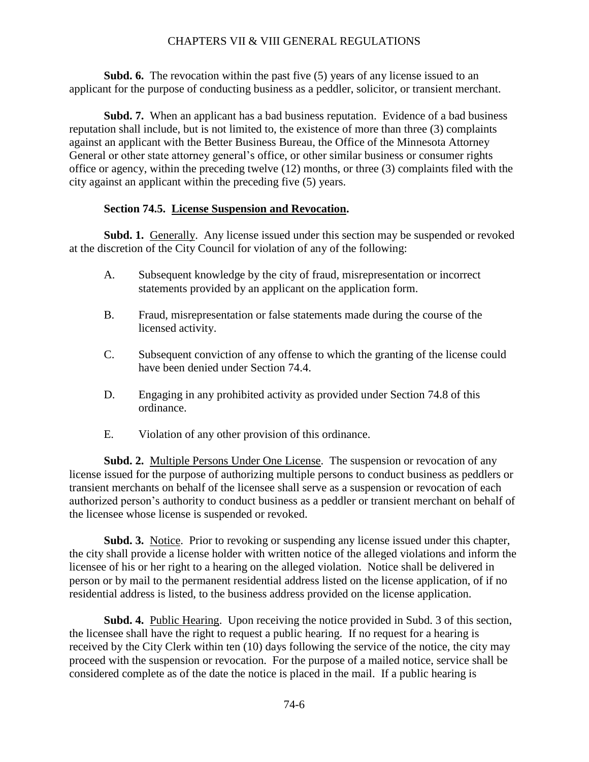**Subd.** 6. The revocation within the past five (5) years of any license issued to an applicant for the purpose of conducting business as a peddler, solicitor, or transient merchant.

**Subd. 7.** When an applicant has a bad business reputation. Evidence of a bad business reputation shall include, but is not limited to, the existence of more than three (3) complaints against an applicant with the Better Business Bureau, the Office of the Minnesota Attorney General or other state attorney general's office, or other similar business or consumer rights office or agency, within the preceding twelve (12) months, or three (3) complaints filed with the city against an applicant within the preceding five (5) years.

#### <span id="page-12-0"></span>**Section 74.5. License Suspension and Revocation.**

**Subd. 1.** Generally. Any license issued under this section may be suspended or revoked at the discretion of the City Council for violation of any of the following:

- A. Subsequent knowledge by the city of fraud, misrepresentation or incorrect statements provided by an applicant on the application form.
- B. Fraud, misrepresentation or false statements made during the course of the licensed activity.
- C. Subsequent conviction of any offense to which the granting of the license could have been denied under Section 74.4.
- D. Engaging in any prohibited activity as provided under Section 74.8 of this ordinance.
- E. Violation of any other provision of this ordinance.

**Subd. 2.** Multiple Persons Under One License. The suspension or revocation of any license issued for the purpose of authorizing multiple persons to conduct business as peddlers or transient merchants on behalf of the licensee shall serve as a suspension or revocation of each authorized person's authority to conduct business as a peddler or transient merchant on behalf of the licensee whose license is suspended or revoked.

**Subd. 3.** Notice. Prior to revoking or suspending any license issued under this chapter, the city shall provide a license holder with written notice of the alleged violations and inform the licensee of his or her right to a hearing on the alleged violation. Notice shall be delivered in person or by mail to the permanent residential address listed on the license application, of if no residential address is listed, to the business address provided on the license application.

**Subd. 4.** Public Hearing. Upon receiving the notice provided in Subd. 3 of this section, the licensee shall have the right to request a public hearing. If no request for a hearing is received by the City Clerk within ten (10) days following the service of the notice, the city may proceed with the suspension or revocation. For the purpose of a mailed notice, service shall be considered complete as of the date the notice is placed in the mail. If a public hearing is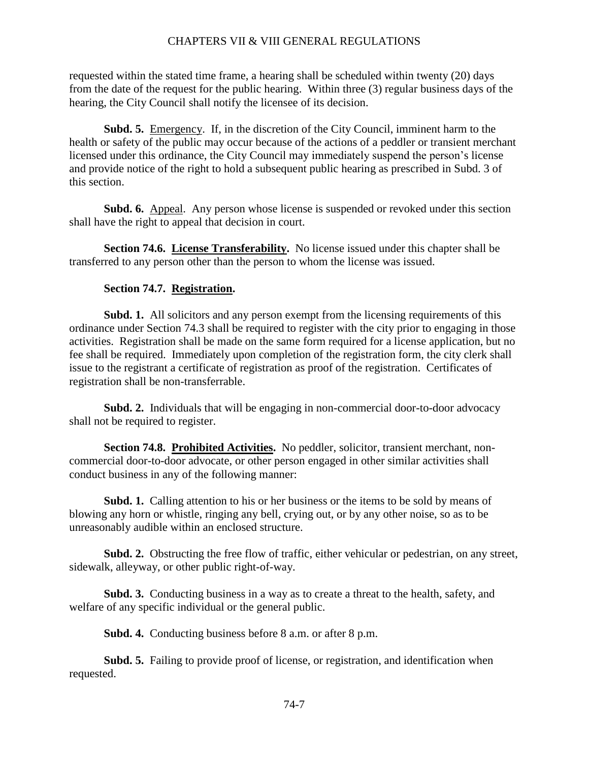requested within the stated time frame, a hearing shall be scheduled within twenty (20) days from the date of the request for the public hearing. Within three (3) regular business days of the hearing, the City Council shall notify the licensee of its decision.

**Subd. 5.** Emergency. If, in the discretion of the City Council, imminent harm to the health or safety of the public may occur because of the actions of a peddler or transient merchant licensed under this ordinance, the City Council may immediately suspend the person's license and provide notice of the right to hold a subsequent public hearing as prescribed in Subd. 3 of this section.

**Subd. 6.** Appeal. Any person whose license is suspended or revoked under this section shall have the right to appeal that decision in court.

**Section 74.6.** License Transferability. No license issued under this chapter shall be transferred to any person other than the person to whom the license was issued.

#### <span id="page-13-1"></span><span id="page-13-0"></span>**Section 74.7. Registration.**

**Subd. 1.** All solicitors and any person exempt from the licensing requirements of this ordinance under Section 74.3 shall be required to register with the city prior to engaging in those activities. Registration shall be made on the same form required for a license application, but no fee shall be required. Immediately upon completion of the registration form, the city clerk shall issue to the registrant a certificate of registration as proof of the registration. Certificates of registration shall be non-transferrable.

**Subd. 2.** Individuals that will be engaging in non-commercial door-to-door advocacy shall not be required to register.

<span id="page-13-2"></span>**Section 74.8. Prohibited Activities.** No peddler, solicitor, transient merchant, noncommercial door-to-door advocate, or other person engaged in other similar activities shall conduct business in any of the following manner:

**Subd. 1.** Calling attention to his or her business or the items to be sold by means of blowing any horn or whistle, ringing any bell, crying out, or by any other noise, so as to be unreasonably audible within an enclosed structure.

**Subd. 2.** Obstructing the free flow of traffic, either vehicular or pedestrian, on any street, sidewalk, alleyway, or other public right-of-way.

**Subd. 3.** Conducting business in a way as to create a threat to the health, safety, and welfare of any specific individual or the general public.

**Subd. 4.** Conducting business before 8 a.m. or after 8 p.m.

**Subd. 5.** Failing to provide proof of license, or registration, and identification when requested.